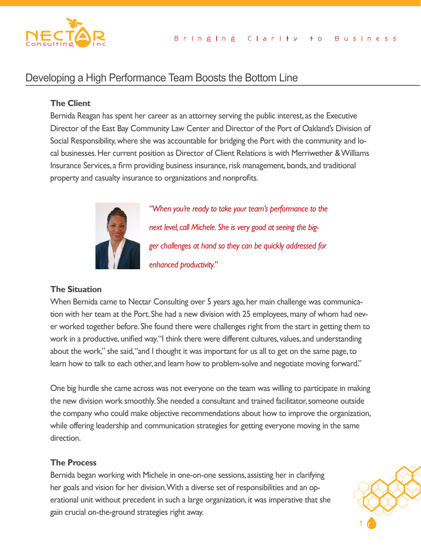

# Developing a High Performance Team Boosts the Bottom Line

# **The Client**

Bernida Reagan has spent her career as an attorney serving the public interest, as the Executive Director of the East Bay Community Law Center and Director of the Port of Oakland's Division of Social Responsibility, where she was accountable for bridging the Port with the community and local businesses. Her current position as Director of Client Relations is with Merriwether & Williams Insurance Services, a firm providing business insurance, risk management, bonds, and traditional property and casualty insurance to organizations and nonprofits.



*"When you're ready to take your team's performance to the next level, call Michele. She is very good at seeing the bigger challenges at hand so they can be quickly addressed for enhanced productivity."*

### **The Situation**

When Bernida came to Nectar Consulting over 5 years ago, her main challenge was communication with her team at the Port. She had a new division with 25 employees, many of whom had never worked together before. She found there were challenges right from the start in getting them to work in a productive, unified way. "I think there were different cultures, values, and understanding about the work," she said, "and I thought it was important for us all to get on the same page, to learn how to talk to each other, and learn how to problem-solve and negotiate moving forward."

direction. One big hurdle she came across was not everyone on the team was willing to participate in making the new division work smoothly. She needed a consultant and trained facilitator, someone outside the company who could make objective recommendations about how to improve the organization, while offering leadership and communication strategies for getting everyone moving in the same direction.

### **The Process**

Bernida began working with Michele in one-on-one sessions, assisting her in clarifying her goals and vision for her division. With a diverse set of responsibilities and an operational unit without precedent in such a large organization, it was imperative that she gain crucial on-the-ground strategies right away.